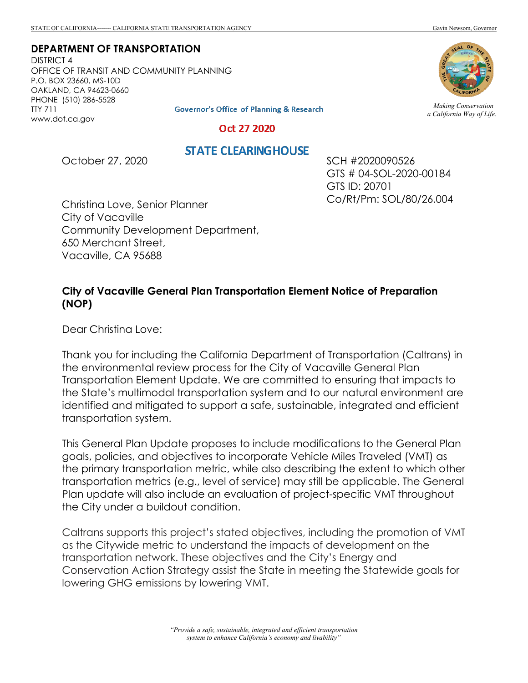**DEPARTMENT OF TRANSPORTATION**

DISTRICT 4 OFFICE OF TRANSIT AND COMMUNITY PLANNING P.O. BOX 23660, MS-10D OAKLAND, CA 94623-0660 PHONE (510) 286-5528 TTY 711 www.dot.ca.gov



*Making Conservation a California Way of Life.*

**Governor's Office of Planning & Research** 

Oct 27 2020

## **STATE CLEARINGHOUSE**

October 27, 2020

SCH #2020090526 GTS # 04-SOL-2020-00184 GTS ID: 20701 Co/Rt/Pm: SOL/80/26.004

Christina Love, Senior Planner City of Vacaville Community Development Department, 650 Merchant Street, Vacaville, CA 95688

## **City of Vacaville General Plan Transportation Element Notice of Preparation (NOP)**

Dear Christina Love:

Thank you for including the California Department of Transportation (Caltrans) in the environmental review process for the City of Vacaville General Plan Transportation Element Update. We are committed to ensuring that impacts to the State's multimodal transportation system and to our natural environment are identified and mitigated to support a safe, sustainable, integrated and efficient transportation system.

This General Plan Update proposes to include modifications to the General Plan goals, policies, and objectives to incorporate Vehicle Miles Traveled (VMT) as the primary transportation metric, while also describing the extent to which other transportation metrics (e.g., level of service) may still be applicable. The General Plan update will also include an evaluation of project-specific VMT throughout the City under a buildout condition.

Caltrans supports this project's stated objectives, including the promotion of VMT as the Citywide metric to understand the impacts of development on the transportation network. These objectives and the City's Energy and Conservation Action Strategy assist the State in meeting the Statewide goals for lowering GHG emissions by lowering VMT.